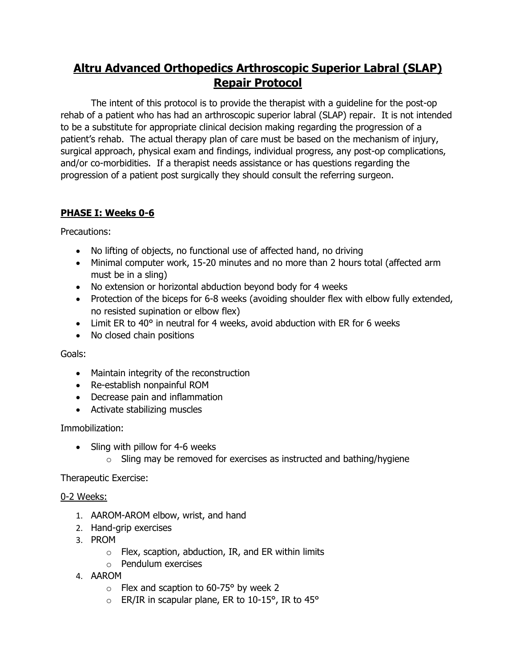# **Altru Advanced Orthopedics Arthroscopic Superior Labral (SLAP) Repair Protocol**

The intent of this protocol is to provide the therapist with a guideline for the post-op rehab of a patient who has had an arthroscopic superior labral (SLAP) repair. It is not intended to be a substitute for appropriate clinical decision making regarding the progression of a patient's rehab. The actual therapy plan of care must be based on the mechanism of injury, surgical approach, physical exam and findings, individual progress, any post-op complications, and/or co-morbidities. If a therapist needs assistance or has questions regarding the progression of a patient post surgically they should consult the referring surgeon.

## **PHASE I: Weeks 0-6**

Precautions:

- No lifting of objects, no functional use of affected hand, no driving
- Minimal computer work, 15-20 minutes and no more than 2 hours total (affected arm must be in a sling)
- No extension or horizontal abduction beyond body for 4 weeks
- Protection of the biceps for 6-8 weeks (avoiding shoulder flex with elbow fully extended, no resisted supination or elbow flex)
- Limit ER to 40° in neutral for 4 weeks, avoid abduction with ER for 6 weeks
- No closed chain positions

Goals:

- Maintain integrity of the reconstruction
- Re-establish nonpainful ROM
- Decrease pain and inflammation
- Activate stabilizing muscles

## Immobilization:

- Sling with pillow for 4-6 weeks
	- $\circ$  Sling may be removed for exercises as instructed and bathing/hygiene

## Therapeutic Exercise:

## 0-2 Weeks:

- 1. AAROM-AROM elbow, wrist, and hand
- 2. Hand-grip exercises
- 3. PROM
	- $\circ$  Flex, scaption, abduction, IR, and ER within limits
	- o Pendulum exercises
- 4. AAROM
	- $\circ$  Flex and scaption to 60-75° by week 2
	- $\circ$  ER/IR in scapular plane, ER to 10-15°, IR to 45°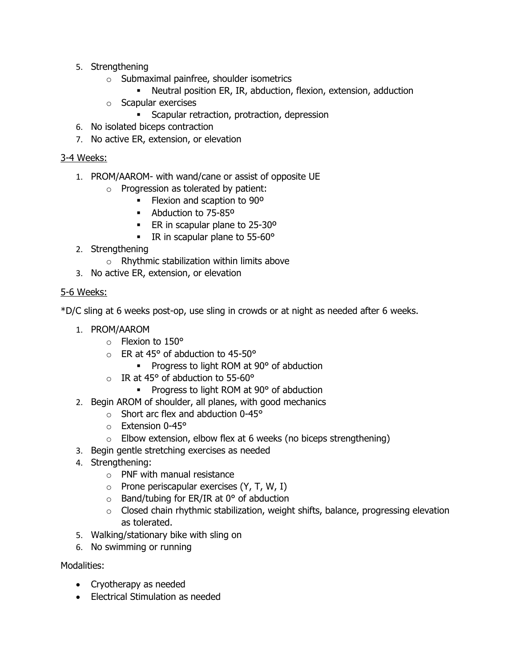- 5. Strengthening
	- o Submaximal painfree, shoulder isometrics
		- Neutral position ER, IR, abduction, flexion, extension, adduction
	- o Scapular exercises
		- Scapular retraction, protraction, depression
- 6. No isolated biceps contraction
- 7. No active ER, extension, or elevation

### 3-4 Weeks:

- 1. PROM/AAROM- with wand/cane or assist of opposite UE
	- o Progression as tolerated by patient:
		- Flexion and scaption to 90<sup>o</sup>
		- Abduction to 75-85°
		- ER in scapular plane to 25-30°
		- IR in scapular plane to 55-60°
- 2. Strengthening
	- $\circ$  Rhythmic stabilization within limits above
- 3. No active ER, extension, or elevation

## 5-6 Weeks:

\*D/C sling at 6 weeks post-op, use sling in crowds or at night as needed after 6 weeks.

- 1. PROM/AAROM
	- $\circ$  Flexion to 150 $\circ$
	- $\circ$  FR at 45° of abduction to 45-50°
		- Progress to light ROM at 90° of abduction
	- $\circ$  IR at 45° of abduction to 55-60°
		- Progress to light ROM at 90° of abduction
- 2. Begin AROM of shoulder, all planes, with good mechanics
	- $\circ$  Short arc flex and abduction 0-45 $\circ$
	- o Extension 0-45°
	- $\circ$  Elbow extension, elbow flex at 6 weeks (no biceps strengthening)
- 3. Begin gentle stretching exercises as needed
- 4. Strengthening:
	- o PNF with manual resistance
	- $\circ$  Prone periscapular exercises (Y, T, W, I)
	- $\circ$  Band/tubing for ER/IR at 0 $\circ$  of abduction
	- $\circ$  Closed chain rhythmic stabilization, weight shifts, balance, progressing elevation as tolerated.
- 5. Walking/stationary bike with sling on
- 6. No swimming or running

Modalities:

- Cryotherapy as needed
- Electrical Stimulation as needed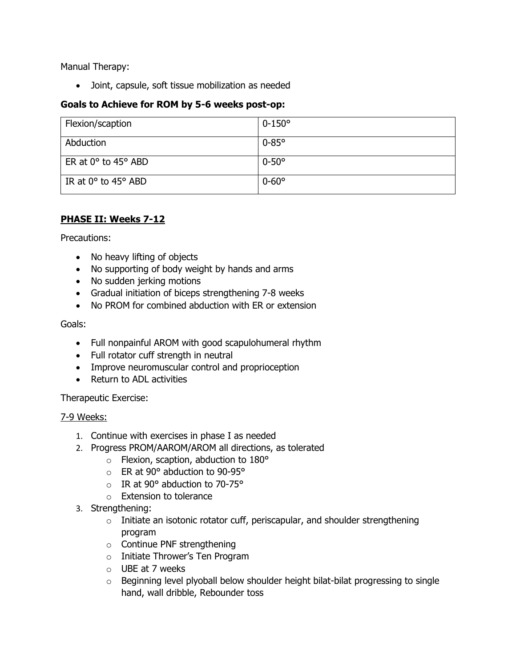Manual Therapy:

• Joint, capsule, soft tissue mobilization as needed

## **Goals to Achieve for ROM by 5-6 weeks post-op:**

| Flexion/scaption                      | $0 - 150^{\circ}$ |
|---------------------------------------|-------------------|
| Abduction                             | $0-85^\circ$      |
| ER at $0^\circ$ to 45° ABD            | $0-50^\circ$      |
| IR at $0^{\circ}$ to $45^{\circ}$ ABD | $0 - 60^{\circ}$  |

## **PHASE II: Weeks 7-12**

Precautions:

- No heavy lifting of objects
- No supporting of body weight by hands and arms
- No sudden jerking motions
- Gradual initiation of biceps strengthening 7-8 weeks
- No PROM for combined abduction with ER or extension

Goals:

- Full nonpainful AROM with good scapulohumeral rhythm
- Full rotator cuff strength in neutral
- Improve neuromuscular control and proprioception
- Return to ADL activities

Therapeutic Exercise:

#### 7-9 Weeks:

- 1. Continue with exercises in phase I as needed
- 2. Progress PROM/AAROM/AROM all directions, as tolerated
	- o Flexion, scaption, abduction to 180°
	- o ER at 90° abduction to 90-95°
	- $\circ$  IR at 90 $\circ$  abduction to 70-75 $\circ$
	- o Extension to tolerance
- 3. Strengthening:
	- $\circ$  Initiate an isotonic rotator cuff, periscapular, and shoulder strengthening program
	- o Continue PNF strengthening
	- o Initiate Thrower's Ten Program
	- o UBE at 7 weeks
	- $\circ$  Beginning level plyoball below shoulder height bilat-bilat progressing to single hand, wall dribble, Rebounder toss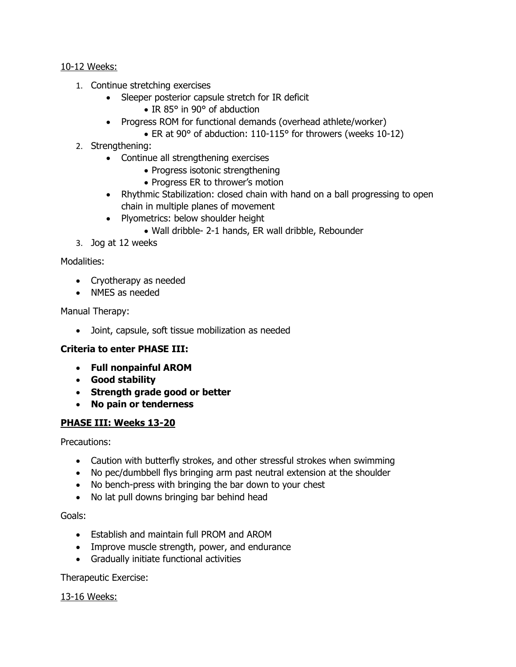10-12 Weeks:

- 1. Continue stretching exercises
	- Sleeper posterior capsule stretch for IR deficit
		- IR 85° in 90° of abduction
	- Progress ROM for functional demands (overhead athlete/worker)
		- ER at 90° of abduction: 110-115° for throwers (weeks 10-12)
- 2. Strengthening:
	- Continue all strengthening exercises
		- Progress isotonic strengthening
		- Progress ER to thrower's motion
	- Rhythmic Stabilization: closed chain with hand on a ball progressing to open chain in multiple planes of movement
	- Plyometrics: below shoulder height
		- Wall dribble- 2-1 hands, ER wall dribble, Rebounder
- 3. Jog at 12 weeks

## Modalities:

- Cryotherapy as needed
- NMES as needed

#### Manual Therapy:

• Joint, capsule, soft tissue mobilization as needed

## **Criteria to enter PHASE III:**

- **Full nonpainful AROM**
- **Good stability**
- **Strength grade good or better**
- **No pain or tenderness**

## **PHASE III: Weeks 13-20**

Precautions:

- Caution with butterfly strokes, and other stressful strokes when swimming
- No pec/dumbbell flys bringing arm past neutral extension at the shoulder
- No bench-press with bringing the bar down to your chest
- No lat pull downs bringing bar behind head

#### Goals:

- Establish and maintain full PROM and AROM
- Improve muscle strength, power, and endurance
- Gradually initiate functional activities

Therapeutic Exercise:

## 13-16 Weeks: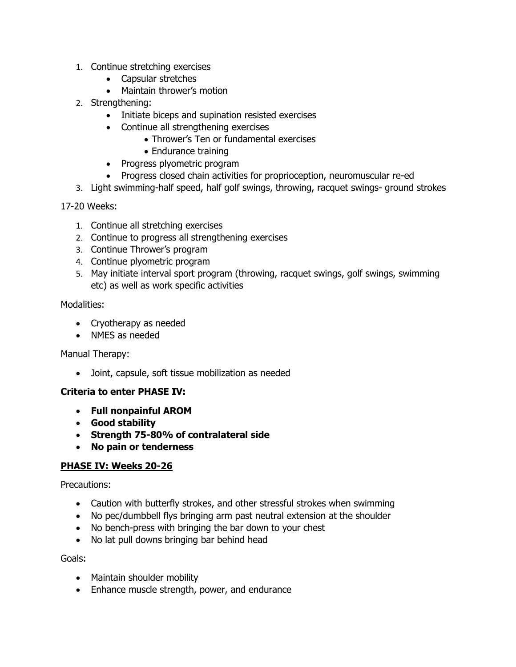- 1. Continue stretching exercises
	- Capsular stretches
	- Maintain thrower's motion
- 2. Strengthening:
	- Initiate biceps and supination resisted exercises
	- Continue all strengthening exercises
		- Thrower's Ten or fundamental exercises
		- Endurance training
	- Progress plyometric program
	- Progress closed chain activities for proprioception, neuromuscular re-ed
- 3. Light swimming-half speed, half golf swings, throwing, racquet swings- ground strokes

## 17-20 Weeks:

- 1. Continue all stretching exercises
- 2. Continue to progress all strengthening exercises
- 3. Continue Thrower's program
- 4. Continue plyometric program
- 5. May initiate interval sport program (throwing, racquet swings, golf swings, swimming etc) as well as work specific activities

## Modalities:

- Cryotherapy as needed
- NMES as needed

## Manual Therapy:

• Joint, capsule, soft tissue mobilization as needed

## **Criteria to enter PHASE IV:**

- **Full nonpainful AROM**
- **Good stability**
- **Strength 75-80% of contralateral side**
- **No pain or tenderness**

## **PHASE IV: Weeks 20-26**

## Precautions:

- Caution with butterfly strokes, and other stressful strokes when swimming
- No pec/dumbbell flys bringing arm past neutral extension at the shoulder
- No bench-press with bringing the bar down to your chest
- No lat pull downs bringing bar behind head

## Goals:

- Maintain shoulder mobility
- Enhance muscle strength, power, and endurance